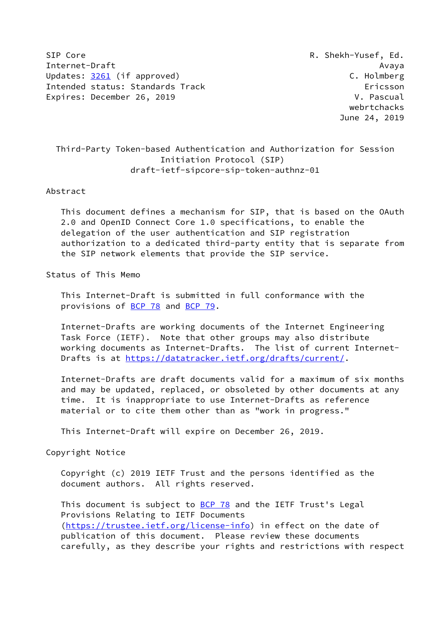SIP Core R. Shekh-Yusef, Ed. Internet-Draft Avaya Updates: [3261](https://datatracker.ietf.org/doc/pdf/rfc3261) (if approved) C. Holmberg Intended status: Standards Track Ericsson Expires: December 26, 2019 V. Pascual

 webrtchacks June 24, 2019

# Third-Party Token-based Authentication and Authorization for Session Initiation Protocol (SIP) draft-ietf-sipcore-sip-token-authnz-01

#### Abstract

 This document defines a mechanism for SIP, that is based on the OAuth 2.0 and OpenID Connect Core 1.0 specifications, to enable the delegation of the user authentication and SIP registration authorization to a dedicated third-party entity that is separate from the SIP network elements that provide the SIP service.

## Status of This Memo

 This Internet-Draft is submitted in full conformance with the provisions of [BCP 78](https://datatracker.ietf.org/doc/pdf/bcp78) and [BCP 79](https://datatracker.ietf.org/doc/pdf/bcp79).

 Internet-Drafts are working documents of the Internet Engineering Task Force (IETF). Note that other groups may also distribute working documents as Internet-Drafts. The list of current Internet- Drafts is at<https://datatracker.ietf.org/drafts/current/>.

 Internet-Drafts are draft documents valid for a maximum of six months and may be updated, replaced, or obsoleted by other documents at any time. It is inappropriate to use Internet-Drafts as reference material or to cite them other than as "work in progress."

This Internet-Draft will expire on December 26, 2019.

#### Copyright Notice

 Copyright (c) 2019 IETF Trust and the persons identified as the document authors. All rights reserved.

This document is subject to **[BCP 78](https://datatracker.ietf.org/doc/pdf/bcp78)** and the IETF Trust's Legal Provisions Relating to IETF Documents [\(https://trustee.ietf.org/license-info](https://trustee.ietf.org/license-info)) in effect on the date of publication of this document. Please review these documents carefully, as they describe your rights and restrictions with respect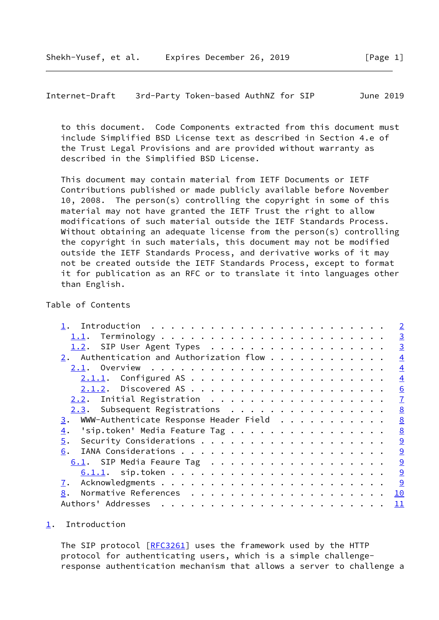<span id="page-1-1"></span>Internet-Draft 3rd-Party Token-based AuthNZ for SIP June 2019

 to this document. Code Components extracted from this document must include Simplified BSD License text as described in Section 4.e of the Trust Legal Provisions and are provided without warranty as described in the Simplified BSD License.

 This document may contain material from IETF Documents or IETF Contributions published or made publicly available before November 10, 2008. The person(s) controlling the copyright in some of this material may not have granted the IETF Trust the right to allow modifications of such material outside the IETF Standards Process. Without obtaining an adequate license from the person(s) controlling the copyright in such materials, this document may not be modified outside the IETF Standards Process, and derivative works of it may not be created outside the IETF Standards Process, except to format it for publication as an RFC or to translate it into languages other than English.

#### Table of Contents

|                                                        | $\overline{2}$ |
|--------------------------------------------------------|----------------|
| 1.1.                                                   | $\overline{3}$ |
| 1.2. SIP User Agent Types                              | $\overline{3}$ |
| 2. Authentication and Authorization flow               | $\overline{4}$ |
|                                                        | $\overline{4}$ |
|                                                        | $\overline{4}$ |
|                                                        | 6              |
| 2.2. Initial Registration                              | $\overline{1}$ |
| 2.3. Subsequent Registrations                          | 8              |
| $\frac{3}{2}$ . WWW-Authenticate Response Header Field | 8              |
| 'sip.token' Media Feature Tag<br>$\overline{4}$ .      | 8              |
| 5.                                                     | $\overline{9}$ |
| 6.                                                     | 9              |
| 6.1. SIP Media Feaure Tag                              | 9              |
|                                                        | 9              |
| 7.                                                     | 9              |
| 8.                                                     | <u> 10</u>     |
|                                                        | 11             |

<span id="page-1-0"></span>[1](#page-1-0). Introduction

The SIP protocol [\[RFC3261](https://datatracker.ietf.org/doc/pdf/rfc3261)] uses the framework used by the HTTP protocol for authenticating users, which is a simple challenge response authentication mechanism that allows a server to challenge a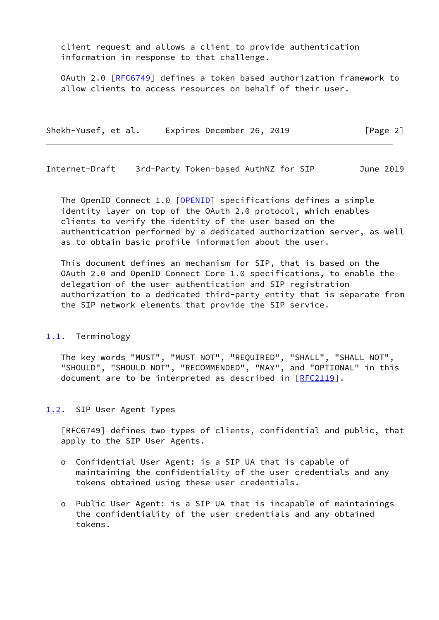client request and allows a client to provide authentication information in response to that challenge.

 OAuth 2.0 [[RFC6749](https://datatracker.ietf.org/doc/pdf/rfc6749)] defines a token based authorization framework to allow clients to access resources on behalf of their user.

| Shekh-Yusef, et al. | Expires December 26, 2019 | [Page 2] |
|---------------------|---------------------------|----------|
|---------------------|---------------------------|----------|

<span id="page-2-1"></span>Internet-Draft 3rd-Party Token-based AuthNZ for SIP June 2019

The OpenID Connect 1.0 [\[OPENID](#page-10-2)] specifications defines a simple identity layer on top of the OAuth 2.0 protocol, which enables clients to verify the identity of the user based on the authentication performed by a dedicated authorization server, as well as to obtain basic profile information about the user.

 This document defines an mechanism for SIP, that is based on the OAuth 2.0 and OpenID Connect Core 1.0 specifications, to enable the delegation of the user authentication and SIP registration authorization to a dedicated third-party entity that is separate from the SIP network elements that provide the SIP service.

#### <span id="page-2-0"></span>[1.1](#page-2-0). Terminology

 The key words "MUST", "MUST NOT", "REQUIRED", "SHALL", "SHALL NOT", "SHOULD", "SHOULD NOT", "RECOMMENDED", "MAY", and "OPTIONAL" in this document are to be interpreted as described in [\[RFC2119](https://datatracker.ietf.org/doc/pdf/rfc2119)].

#### <span id="page-2-2"></span>[1.2](#page-2-2). SIP User Agent Types

 [RFC6749] defines two types of clients, confidential and public, that apply to the SIP User Agents.

- o Confidential User Agent: is a SIP UA that is capable of maintaining the confidentiality of the user credentials and any tokens obtained using these user credentials.
- o Public User Agent: is a SIP UA that is incapable of maintainings the confidentiality of the user credentials and any obtained tokens.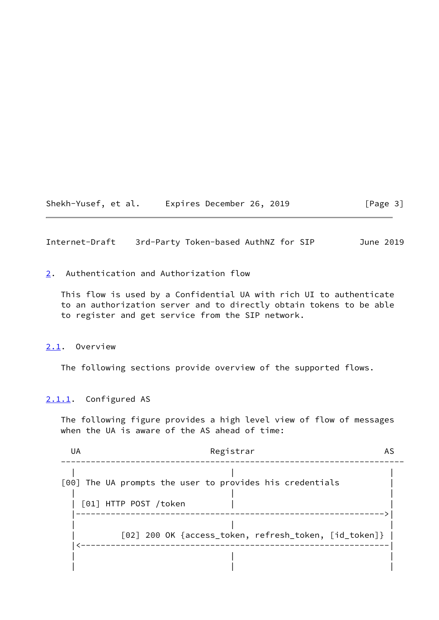Shekh-Yusef, et al. Expires December 26, 2019 [Page 3]

<span id="page-3-1"></span>Internet-Draft 3rd-Party Token-based AuthNZ for SIP June 2019

<span id="page-3-0"></span>[2](#page-3-0). Authentication and Authorization flow

 This flow is used by a Confidential UA with rich UI to authenticate to an authorization server and to directly obtain tokens to be able to register and get service from the SIP network.

#### <span id="page-3-2"></span>[2.1](#page-3-2). Overview

The following sections provide overview of the supported flows.

## <span id="page-3-3"></span>[2.1.1](#page-3-3). Configured AS

 The following figure provides a high level view of flow of messages when the UA is aware of the AS ahead of time:

| UA | Registrar                                                |
|----|----------------------------------------------------------|
|    | [00] The UA prompts the user to provides his credentials |
|    | [01] HTTP POST /token                                    |
|    | [02] 200 OK {access_token, refresh_token, [id_token]}    |
|    |                                                          |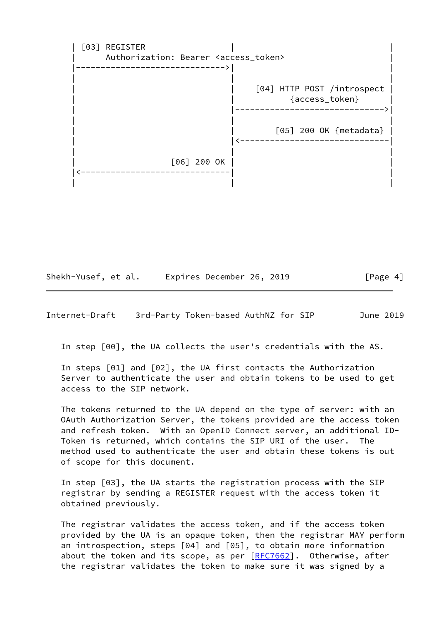[03] REGISTER Authorization: Bearer <access\_token> |------------------------------>| | | | | | | [04] HTTP POST /introspect | | | {access\_token} | | |------------------------------>| | | | [05] 200 OK {metadata} | | |<------------------------------| | | | | [06] 200 OK | | |<------------------------------| | | | |

Shekh-Yusef, et al. Expires December 26, 2019 [Page 4]

Internet-Draft 3rd-Party Token-based AuthNZ for SIP June 2019

In step [00], the UA collects the user's credentials with the AS.

 In steps [01] and [02], the UA first contacts the Authorization Server to authenticate the user and obtain tokens to be used to get access to the SIP network.

 The tokens returned to the UA depend on the type of server: with an OAuth Authorization Server, the tokens provided are the access token and refresh token. With an OpenID Connect server, an additional ID- Token is returned, which contains the SIP URI of the user. The method used to authenticate the user and obtain these tokens is out of scope for this document.

 In step [03], the UA starts the registration process with the SIP registrar by sending a REGISTER request with the access token it obtained previously.

 The registrar validates the access token, and if the access token provided by the UA is an opaque token, then the registrar MAY perform an introspection, steps [04] and [05], to obtain more information about the token and its scope, as per [[RFC7662](https://datatracker.ietf.org/doc/pdf/rfc7662)]. Otherwise, after the registrar validates the token to make sure it was signed by a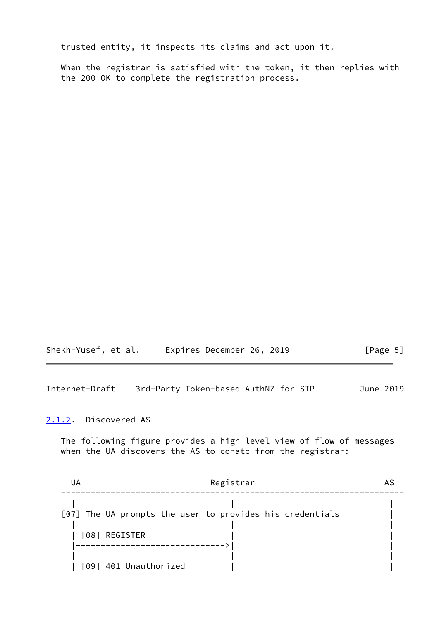trusted entity, it inspects its claims and act upon it.

 When the registrar is satisfied with the token, it then replies with the 200 OK to complete the registration process.

| Shekh-Yusef, et al. | Expires December 26, 2019 |  | [Page 5] |
|---------------------|---------------------------|--|----------|
|---------------------|---------------------------|--|----------|

<span id="page-5-1"></span>Internet-Draft 3rd-Party Token-based AuthNZ for SIP June 2019

#### <span id="page-5-0"></span>[2.1.2](#page-5-0). Discovered AS

 The following figure provides a high level view of flow of messages when the UA discovers the AS to conatc from the registrar:

| Registrar<br>UA                                          |  |
|----------------------------------------------------------|--|
|                                                          |  |
| [07] The UA prompts the user to provides his credentials |  |
| [08] REGISTER                                            |  |
|                                                          |  |
| [09] 401 Unauthorized                                    |  |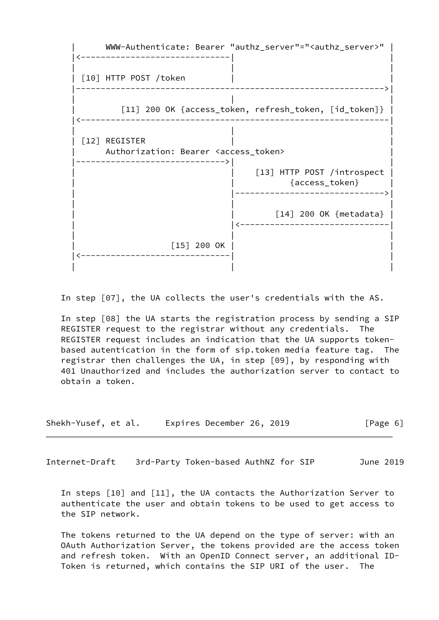

In step [07], the UA collects the user's credentials with the AS.

 In step [08] the UA starts the registration process by sending a SIP REGISTER request to the registrar without any credentials. The REGISTER request includes an indication that the UA supports token based autentication in the form of sip.token media feature tag. The registrar then challenges the UA, in step [09], by responding with 401 Unauthorized and includes the authorization server to contact to obtain a token.

| Shekh-Yusef, et al. | Expires December 26, 2019 | [Page 6] |
|---------------------|---------------------------|----------|
|---------------------|---------------------------|----------|

<span id="page-6-0"></span>Internet-Draft 3rd-Party Token-based AuthNZ for SIP June 2019

 In steps [10] and [11], the UA contacts the Authorization Server to authenticate the user and obtain tokens to be used to get access to the SIP network.

 The tokens returned to the UA depend on the type of server: with an OAuth Authorization Server, the tokens provided are the access token and refresh token. With an OpenID Connect server, an additional ID- Token is returned, which contains the SIP URI of the user. The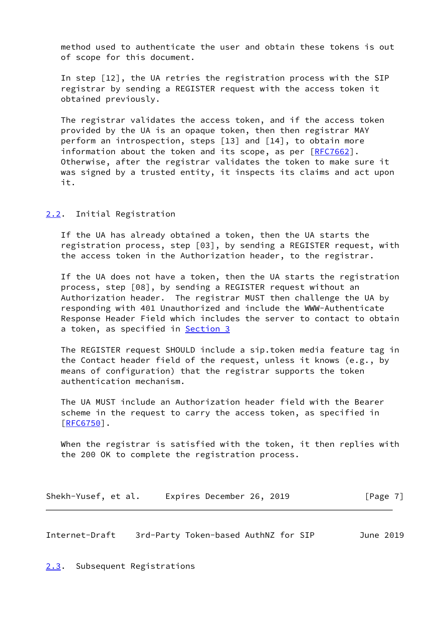method used to authenticate the user and obtain these tokens is out of scope for this document.

 In step [12], the UA retries the registration process with the SIP registrar by sending a REGISTER request with the access token it obtained previously.

 The registrar validates the access token, and if the access token provided by the UA is an opaque token, then then registrar MAY perform an introspection, steps [13] and [14], to obtain more information about the token and its scope, as per  $[REC7662]$ . Otherwise, after the registrar validates the token to make sure it was signed by a trusted entity, it inspects its claims and act upon it.

<span id="page-7-0"></span>[2.2](#page-7-0). Initial Registration

 If the UA has already obtained a token, then the UA starts the registration process, step [03], by sending a REGISTER request, with the access token in the Authorization header, to the registrar.

 If the UA does not have a token, then the UA starts the registration process, step [08], by sending a REGISTER request without an Authorization header. The registrar MUST then challenge the UA by responding with 401 Unauthorized and include the WWW-Authenticate Response Header Field which includes the server to contact to obtain a token, as specified in **Section 3** 

 The REGISTER request SHOULD include a sip.token media feature tag in the Contact header field of the request, unless it knows (e.g., by means of configuration) that the registrar supports the token authentication mechanism.

 The UA MUST include an Authorization header field with the Bearer scheme in the request to carry the access token, as specified in  $[REG750]$ .

 When the registrar is satisfied with the token, it then replies with the 200 OK to complete the registration process.

| Shekh-Yusef, et al. | Expires December 26, 2019 | [Page 7] |
|---------------------|---------------------------|----------|
|---------------------|---------------------------|----------|

<span id="page-7-2"></span>Internet-Draft 3rd-Party Token-based AuthNZ for SIP June 2019

<span id="page-7-1"></span>[2.3](#page-7-1). Subsequent Registrations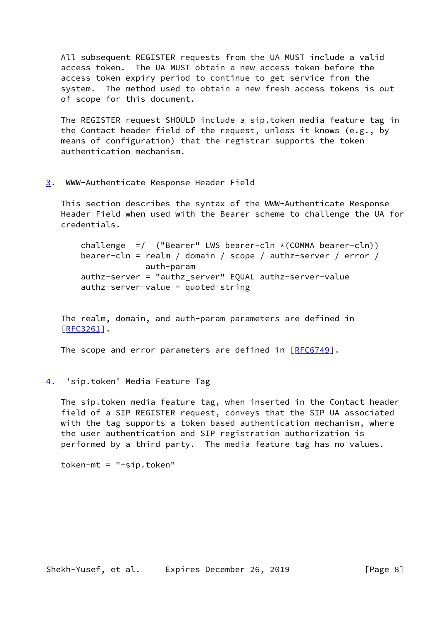All subsequent REGISTER requests from the UA MUST include a valid access token. The UA MUST obtain a new access token before the access token expiry period to continue to get service from the system. The method used to obtain a new fresh access tokens is out of scope for this document.

 The REGISTER request SHOULD include a sip.token media feature tag in the Contact header field of the request, unless it knows (e.g., by means of configuration) that the registrar supports the token authentication mechanism.

<span id="page-8-0"></span>[3](#page-8-0). WWW-Authenticate Response Header Field

 This section describes the syntax of the WWW-Authenticate Response Header Field when used with the Bearer scheme to challenge the UA for credentials.

 challenge =/ ("Bearer" LWS bearer-cln \*(COMMA bearer-cln)) bearer-cln = realm / domain / scope / authz-server / error / auth-param authz-server = "authz\_server" EQUAL authz-server-value authz-server-value = quoted-string

 The realm, domain, and auth-param parameters are defined in [\[RFC3261](https://datatracker.ietf.org/doc/pdf/rfc3261)].

The scope and error parameters are defined in [[RFC6749](https://datatracker.ietf.org/doc/pdf/rfc6749)].

<span id="page-8-1"></span>[4](#page-8-1). 'sip.token' Media Feature Tag

 The sip.token media feature tag, when inserted in the Contact header field of a SIP REGISTER request, conveys that the SIP UA associated with the tag supports a token based authentication mechanism, where the user authentication and SIP registration authorization is performed by a third party. The media feature tag has no values.

token-mt = "+sip.token"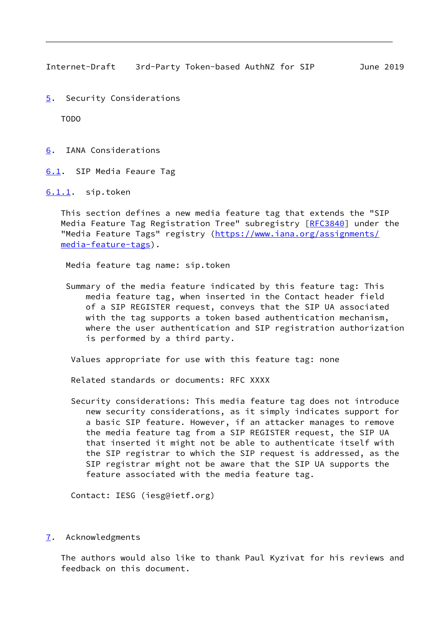<span id="page-9-1"></span>Internet-Draft 3rd-Party Token-based AuthNZ for SIP June 2019

<span id="page-9-0"></span>[5](#page-9-0). Security Considerations

TODO

<span id="page-9-2"></span>[6](#page-9-2). IANA Considerations

<span id="page-9-3"></span>[6.1](#page-9-3). SIP Media Feaure Tag

<span id="page-9-4"></span>[6.1.1](#page-9-4). sip.token

 This section defines a new media feature tag that extends the "SIP Media Feature Tag Registration Tree" subregistry [\[RFC3840](https://datatracker.ietf.org/doc/pdf/rfc3840)] under the "Media Feature Tags" registry ([https://www.iana.org/assignments/](https://www.iana.org/assignments/media-feature-tags) [media-feature-tags](https://www.iana.org/assignments/media-feature-tags)).

Media feature tag name: sip.token

 Summary of the media feature indicated by this feature tag: This media feature tag, when inserted in the Contact header field of a SIP REGISTER request, conveys that the SIP UA associated with the tag supports a token based authentication mechanism, where the user authentication and SIP registration authorization is performed by a third party.

Values appropriate for use with this feature tag: none

Related standards or documents: RFC XXXX

 Security considerations: This media feature tag does not introduce new security considerations, as it simply indicates support for a basic SIP feature. However, if an attacker manages to remove the media feature tag from a SIP REGISTER request, the SIP UA that inserted it might not be able to authenticate itself with the SIP registrar to which the SIP request is addressed, as the SIP registrar might not be aware that the SIP UA supports the feature associated with the media feature tag.

Contact: IESG (iesg@ietf.org)

<span id="page-9-5"></span>[7](#page-9-5). Acknowledgments

 The authors would also like to thank Paul Kyzivat for his reviews and feedback on this document.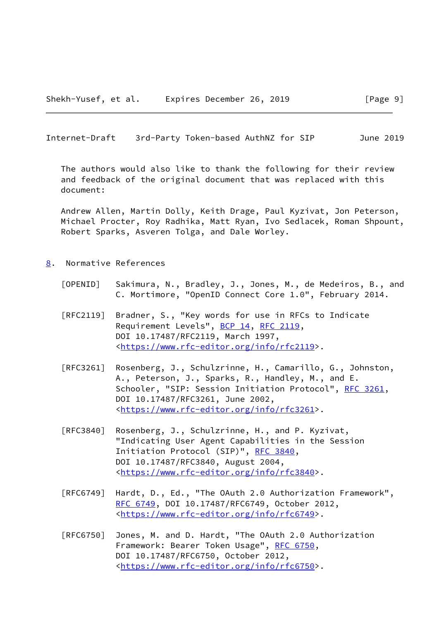<span id="page-10-1"></span>Internet-Draft 3rd-Party Token-based AuthNZ for SIP June 2019

 The authors would also like to thank the following for their review and feedback of the original document that was replaced with this document:

 Andrew Allen, Martin Dolly, Keith Drage, Paul Kyzivat, Jon Peterson, Michael Procter, Roy Radhika, Matt Ryan, Ivo Sedlacek, Roman Shpount, Robert Sparks, Asveren Tolga, and Dale Worley.

- <span id="page-10-2"></span><span id="page-10-0"></span>[8](#page-10-0). Normative References
	- [OPENID] Sakimura, N., Bradley, J., Jones, M., de Medeiros, B., and C. Mortimore, "OpenID Connect Core 1.0", February 2014.
	- [RFC2119] Bradner, S., "Key words for use in RFCs to Indicate Requirement Levels", [BCP 14](https://datatracker.ietf.org/doc/pdf/bcp14), [RFC 2119](https://datatracker.ietf.org/doc/pdf/rfc2119), DOI 10.17487/RFC2119, March 1997, <[https://www.rfc-editor.org/info/rfc2119>](https://www.rfc-editor.org/info/rfc2119).
	- [RFC3261] Rosenberg, J., Schulzrinne, H., Camarillo, G., Johnston, A., Peterson, J., Sparks, R., Handley, M., and E. Schooler, "SIP: Session Initiation Protocol", [RFC 3261](https://datatracker.ietf.org/doc/pdf/rfc3261), DOI 10.17487/RFC3261, June 2002, <[https://www.rfc-editor.org/info/rfc3261>](https://www.rfc-editor.org/info/rfc3261).
	- [RFC3840] Rosenberg, J., Schulzrinne, H., and P. Kyzivat, "Indicating User Agent Capabilities in the Session Initiation Protocol (SIP)", [RFC 3840,](https://datatracker.ietf.org/doc/pdf/rfc3840) DOI 10.17487/RFC3840, August 2004, <[https://www.rfc-editor.org/info/rfc3840>](https://www.rfc-editor.org/info/rfc3840).
	- [RFC6749] Hardt, D., Ed., "The OAuth 2.0 Authorization Framework", [RFC 6749,](https://datatracker.ietf.org/doc/pdf/rfc6749) DOI 10.17487/RFC6749, October 2012, <[https://www.rfc-editor.org/info/rfc6749>](https://www.rfc-editor.org/info/rfc6749).
	- [RFC6750] Jones, M. and D. Hardt, "The OAuth 2.0 Authorization Framework: Bearer Token Usage", [RFC 6750,](https://datatracker.ietf.org/doc/pdf/rfc6750) DOI 10.17487/RFC6750, October 2012, <[https://www.rfc-editor.org/info/rfc6750>](https://www.rfc-editor.org/info/rfc6750).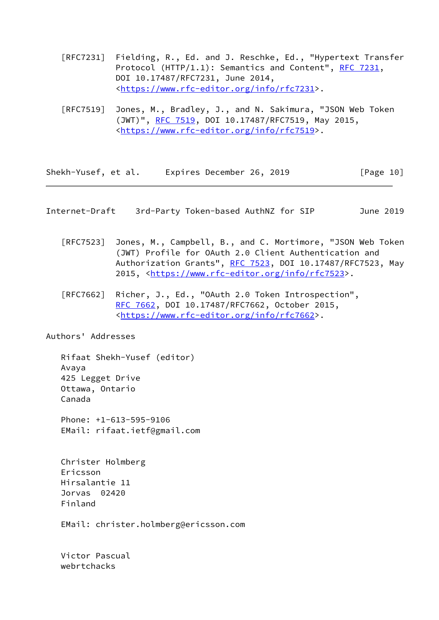- [RFC7231] Fielding, R., Ed. and J. Reschke, Ed., "Hypertext Transfer Protocol (HTTP/1.1): Semantics and Content", [RFC 7231](https://datatracker.ietf.org/doc/pdf/rfc7231), DOI 10.17487/RFC7231, June 2014, <[https://www.rfc-editor.org/info/rfc7231>](https://www.rfc-editor.org/info/rfc7231).
- [RFC7519] Jones, M., Bradley, J., and N. Sakimura, "JSON Web Token (JWT)", [RFC 7519,](https://datatracker.ietf.org/doc/pdf/rfc7519) DOI 10.17487/RFC7519, May 2015, <[https://www.rfc-editor.org/info/rfc7519>](https://www.rfc-editor.org/info/rfc7519).

Shekh-Yusef, et al. Expires December 26, 2019 [Page 10]

<span id="page-11-0"></span>Internet-Draft 3rd-Party Token-based AuthNZ for SIP June 2019

- [RFC7523] Jones, M., Campbell, B., and C. Mortimore, "JSON Web Token (JWT) Profile for OAuth 2.0 Client Authentication and Authorization Grants", [RFC 7523](https://datatracker.ietf.org/doc/pdf/rfc7523), DOI 10.17487/RFC7523, May 2015, [<https://www.rfc-editor.org/info/rfc7523](https://www.rfc-editor.org/info/rfc7523)>.
- [RFC7662] Richer, J., Ed., "OAuth 2.0 Token Introspection", [RFC 7662,](https://datatracker.ietf.org/doc/pdf/rfc7662) DOI 10.17487/RFC7662, October 2015, <[https://www.rfc-editor.org/info/rfc7662>](https://www.rfc-editor.org/info/rfc7662).

Authors' Addresses

webrtchacks

 Rifaat Shekh-Yusef (editor) Avaya 425 Legget Drive Ottawa, Ontario Canada Phone: +1-613-595-9106 EMail: rifaat.ietf@gmail.com Christer Holmberg Ericsson Hirsalantie 11 Jorvas 02420 Finland EMail: christer.holmberg@ericsson.com Victor Pascual